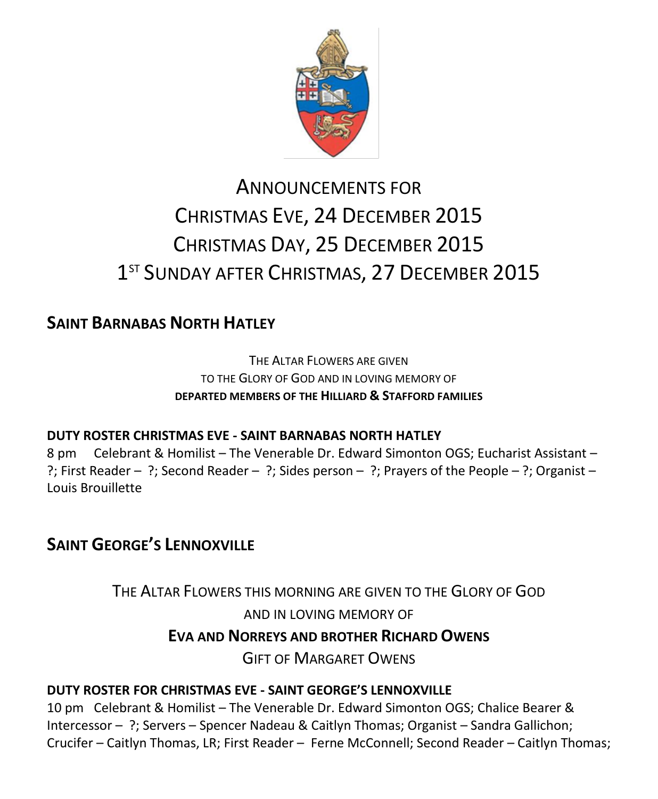

# ANNOUNCEMENTS FOR CHRISTMAS EVE, 24 DECEMBER 2015 CHRISTMAS DAY, 25 DECEMBER 2015 1<sup>ST</sup> SUNDAY AFTER CHRISTMAS, 27 DECEMBER 2015

# **SAINT BARNABAS NORTH HATLEY**

THE ALTAR FLOWERS ARE GIVEN TO THE GLORY OF GOD AND IN LOVING MEMORY OF **DEPARTED MEMBERS OF THE HILLIARD & STAFFORD FAMILIES**

### **DUTY ROSTER CHRISTMAS EVE - SAINT BARNABAS NORTH HATLEY**

8 pm Celebrant & Homilist – The Venerable Dr. Edward Simonton OGS; Eucharist Assistant – ?; First Reader – ?; Second Reader – ?; Sides person – ?; Prayers of the People – ?; Organist – Louis Brouillette

# **SAINT GEORGE'S LENNOXVILLE**

THE ALTAR FLOWERS THIS MORNING ARE GIVEN TO THE GLORY OF GOD AND IN LOVING MEMORY OF **EVA AND NORREYS AND BROTHER RICHARD OWENS**

GIFT OF MARGARET OWENS

### **DUTY ROSTER FOR CHRISTMAS EVE - SAINT GEORGE'S LENNOXVILLE**

10 pm Celebrant & Homilist – The Venerable Dr. Edward Simonton OGS; Chalice Bearer & Intercessor – ?; Servers – Spencer Nadeau & Caitlyn Thomas; Organist – Sandra Gallichon; Crucifer – Caitlyn Thomas, LR; First Reader – Ferne McConnell; Second Reader – Caitlyn Thomas;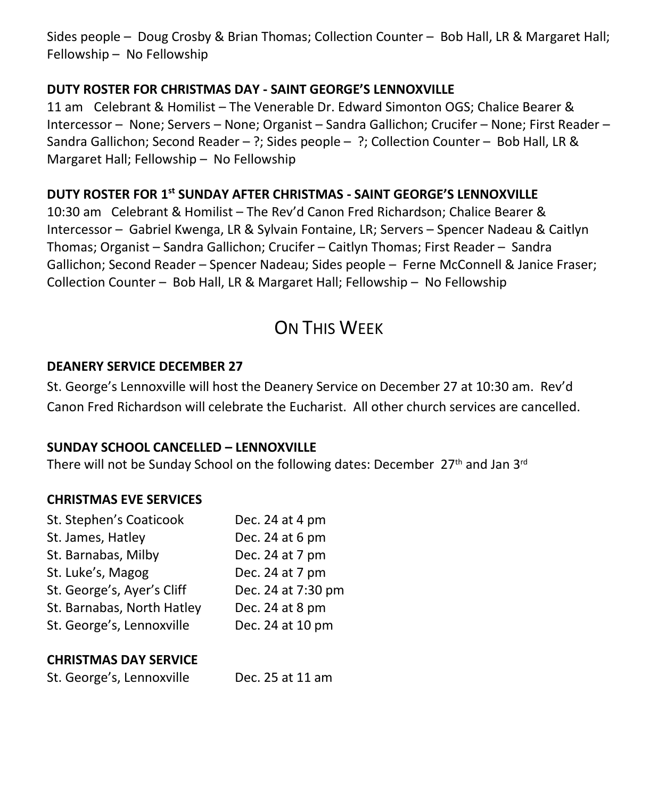Sides people – Doug Crosby & Brian Thomas; Collection Counter – Bob Hall, LR & Margaret Hall; Fellowship – No Fellowship

#### **DUTY ROSTER FOR CHRISTMAS DAY - SAINT GEORGE'S LENNOXVILLE**

11 am Celebrant & Homilist – The Venerable Dr. Edward Simonton OGS; Chalice Bearer & Intercessor – None; Servers – None; Organist – Sandra Gallichon; Crucifer – None; First Reader – Sandra Gallichon; Second Reader – ?; Sides people – ?; Collection Counter – Bob Hall, LR & Margaret Hall; Fellowship – No Fellowship

### **DUTY ROSTER FOR 1 st SUNDAY AFTER CHRISTMAS - SAINT GEORGE'S LENNOXVILLE**

10:30 am Celebrant & Homilist – The Rev'd Canon Fred Richardson; Chalice Bearer & Intercessor – Gabriel Kwenga, LR & Sylvain Fontaine, LR; Servers – Spencer Nadeau & Caitlyn Thomas; Organist – Sandra Gallichon; Crucifer – Caitlyn Thomas; First Reader – Sandra Gallichon; Second Reader – Spencer Nadeau; Sides people – Ferne McConnell & Janice Fraser; Collection Counter – Bob Hall, LR & Margaret Hall; Fellowship – No Fellowship

# ON THIS WEEK

#### **DEANERY SERVICE DECEMBER 27**

St. George's Lennoxville will host the Deanery Service on December 27 at 10:30 am. Rev'd Canon Fred Richardson will celebrate the Eucharist. All other church services are cancelled.

#### **SUNDAY SCHOOL CANCELLED – LENNOXVILLE**

There will not be Sunday School on the following dates: December  $27<sup>th</sup>$  and Jan  $3<sup>rd</sup>$ 

#### **CHRISTMAS EVE SERVICES**

| St. Stephen's Coaticook    | Dec. 24 at 4 pm    |
|----------------------------|--------------------|
| St. James, Hatley          | Dec. 24 at 6 pm    |
| St. Barnabas, Milby        | Dec. 24 at 7 pm    |
| St. Luke's, Magog          | Dec. 24 at 7 pm    |
| St. George's, Ayer's Cliff | Dec. 24 at 7:30 pm |
| St. Barnabas, North Hatley | Dec. 24 at 8 pm    |
| St. George's, Lennoxville  | Dec. 24 at 10 pm   |
|                            |                    |

#### **CHRISTMAS DAY SERVICE**

St. George's, Lennoxville Dec. 25 at 11 am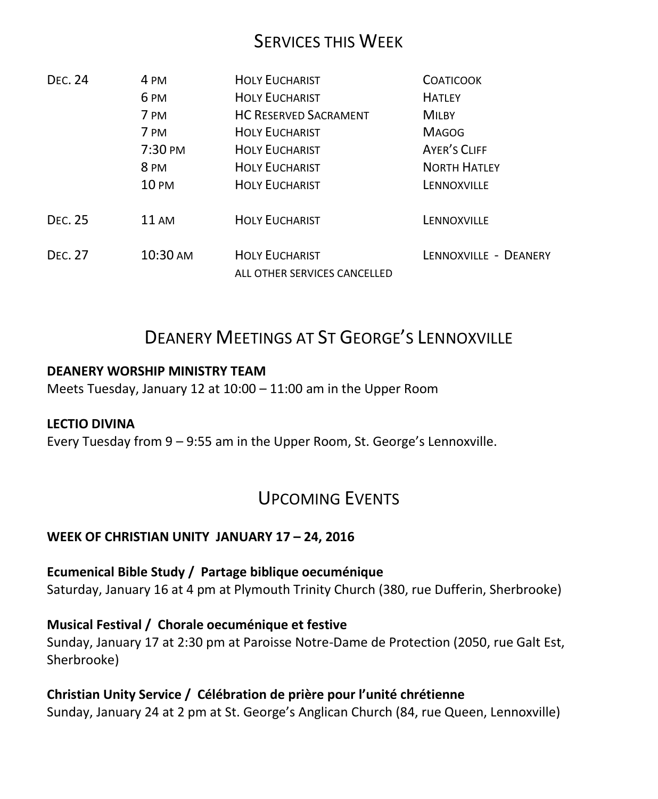## SERVICES THIS WEEK

| D <sub>FC</sub> 24 | 4 PM            | <b>HOLY EUCHARIST</b>                                 | <b>COATICOOK</b>      |
|--------------------|-----------------|-------------------------------------------------------|-----------------------|
|                    | 6 <sub>PM</sub> | <b>HOLY EUCHARIST</b>                                 | <b>HATLEY</b>         |
|                    | 7 PM            | <b>HC RESERVED SACRAMENT</b>                          | <b>MILBY</b>          |
|                    | 7 PM            | <b>HOLY EUCHARIST</b>                                 | <b>MAGOG</b>          |
|                    | 7:30 PM         | <b>HOLY EUCHARIST</b>                                 | <b>AYER'S CLIFF</b>   |
|                    | 8 <sub>PM</sub> | <b>HOLY EUCHARIST</b>                                 | <b>NORTH HATLEY</b>   |
|                    | 10 PM           | <b>HOLY EUCHARIST</b>                                 | LENNOXVILLE           |
| D <sub>FC</sub> 25 | $11 \text{ AM}$ | <b>HOLY EUCHARIST</b>                                 | LENNOXVILLE           |
| D <sub>FC</sub> 27 | 10:30 AM        | <b>HOLY EUCHARIST</b><br>ALL OTHER SERVICES CANCELLED | LENNOXVILLE - DEANERY |

# DEANERY MEETINGS AT ST GEORGE'S LENNOXVILLE

#### **DEANERY WORSHIP MINISTRY TEAM**

Meets Tuesday, January 12 at 10:00 – 11:00 am in the Upper Room

#### **LECTIO DIVINA**

Every Tuesday from 9 – 9:55 am in the Upper Room, St. George's Lennoxville.

## UPCOMING EVENTS

#### **WEEK OF CHRISTIAN UNITY JANUARY 17 – 24, 2016**

**Ecumenical Bible Study / Partage biblique oecuménique** Saturday, January 16 at 4 pm at Plymouth Trinity Church (380, rue Dufferin, Sherbrooke)

**Musical Festival / Chorale oecuménique et festive** Sunday, January 17 at 2:30 pm at Paroisse Notre-Dame de Protection (2050, rue Galt Est, Sherbrooke)

#### **Christian Unity Service / Célébration de prière pour l'unité chrétienne** Sunday, January 24 at 2 pm at St. George's Anglican Church (84, rue Queen, Lennoxville)